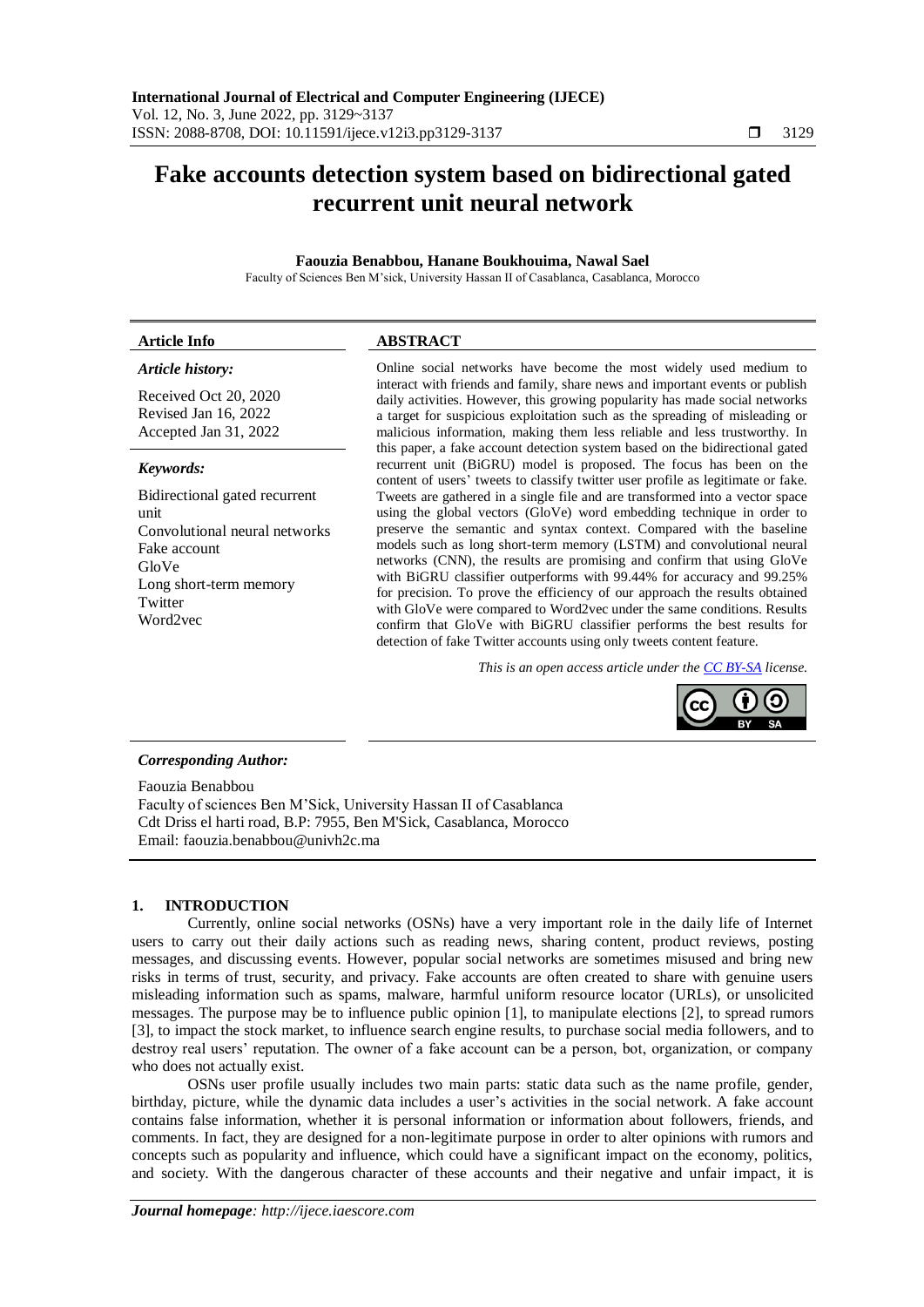# **Fake accounts detection system based on bidirectional gated recurrent unit neural network**

# **Faouzia Benabbou, Hanane Boukhouima, Nawal Sael**

Faculty of Sciences Ben M'sick, University Hassan II of Casablanca, Casablanca, Morocco

| <b>Article Info</b> | <b>ABSTRACT</b> |
|---------------------|-----------------|
|                     |                 |

# *Article history:*

Received Oct 20, 2020 Revised Jan 16, 2022 Accepted Jan 31, 2022

## *Keywords:*

Bidirectional gated recurrent unit Convolutional neural networks Fake account GloVe Long short-term memory Twitter Word2vec

Online social networks have become the most widely used medium to interact with friends and family, share news and important events or publish daily activities. However, this growing popularity has made social networks a target for suspicious exploitation such as the spreading of misleading or malicious information, making them less reliable and less trustworthy. In this paper, a fake account detection system based on the bidirectional gated recurrent unit (BiGRU) model is proposed. The focus has been on the content of users' tweets to classify twitter user profile as legitimate or fake. Tweets are gathered in a single file and are transformed into a vector space using the global vectors (GloVe) word embedding technique in order to preserve the semantic and syntax context. Compared with the baseline models such as long short-term memory (LSTM) and convolutional neural networks (CNN), the results are promising and confirm that using GloVe with BiGRU classifier outperforms with 99.44% for accuracy and 99.25% for precision. To prove the efficiency of our approach the results obtained with GloVe were compared to Word2vec under the same conditions. Results confirm that GloVe with BiGRU classifier performs the best results for detection of fake Twitter accounts using only tweets content feature.

*This is an open access article under th[e CC BY-SA](https://creativecommons.org/licenses/by-sa/4.0/) license.*



## *Corresponding Author:*

Faouzia Benabbou Faculty of sciences Ben M'Sick, University Hassan II of Casablanca Cdt Driss el harti road, B.P: 7955, Ben M'Sick, Casablanca, Morocco Email: faouzia.benabbou@univh2c.ma

# **1. INTRODUCTION**

Currently, online social networks (OSNs) have a very important role in the daily life of Internet users to carry out their daily actions such as reading news, sharing content, product reviews, posting messages, and discussing events. However, popular social networks are sometimes misused and bring new risks in terms of trust, security, and privacy. Fake accounts are often created to share with genuine users misleading information such as spams, malware, harmful uniform resource locator (URLs), or unsolicited messages. The purpose may be to influence public opinion [1], to manipulate elections [2], to spread rumors [3], to impact the stock market, to influence search engine results, to purchase social media followers, and to destroy real users' reputation. The owner of a fake account can be a person, bot, organization, or company who does not actually exist.

OSNs user profile usually includes two main parts: static data such as the name profile, gender, birthday, picture, while the dynamic data includes a user's activities in the social network. A fake account contains false information, whether it is personal information or information about followers, friends, and comments. In fact, they are designed for a non-legitimate purpose in order to alter opinions with rumors and concepts such as popularity and influence, which could have a significant impact on the economy, politics, and society. With the dangerous character of these accounts and their negative and unfair impact, it is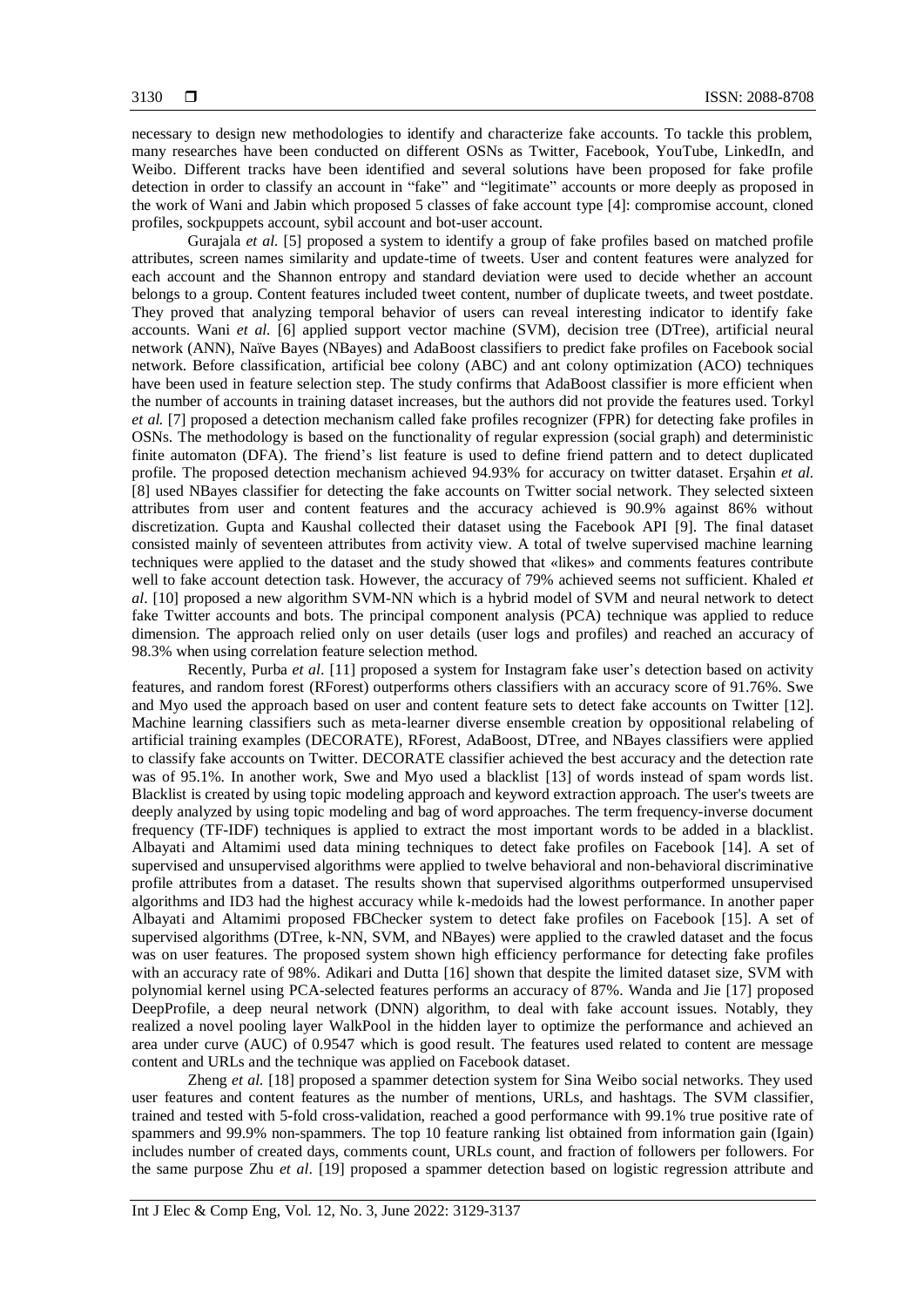necessary to design new methodologies to identify and characterize fake accounts. To tackle this problem, many researches have been conducted on different OSNs as Twitter, Facebook, YouTube, LinkedIn, and Weibo. Different tracks have been identified and several solutions have been proposed for fake profile detection in order to classify an account in "fake" and "legitimate" accounts or more deeply as proposed in the work of Wani and Jabin which proposed 5 classes of fake account type [4]: compromise account, cloned profiles, sockpuppets account, sybil account and bot-user account.

Gurajala *et al.* [5] proposed a system to identify a group of fake profiles based on matched profile attributes, screen names similarity and update-time of tweets. User and content features were analyzed for each account and the Shannon entropy and standard deviation were used to decide whether an account belongs to a group. Content features included tweet content, number of duplicate tweets, and tweet postdate. They proved that analyzing temporal behavior of users can reveal interesting indicator to identify fake accounts. Wani *et al.* [6] applied support vector machine (SVM), decision tree (DTree), artificial neural network (ANN), Naïve Bayes (NBayes) and AdaBoost classifiers to predict fake profiles on Facebook social network. Before classification, artificial bee colony (ABC) and ant colony optimization (ACO) techniques have been used in feature selection step. The study confirms that AdaBoost classifier is more efficient when the number of accounts in training dataset increases, but the authors did not provide the features used. Torkyl *et al.* [7] proposed a detection mechanism called fake profiles recognizer (FPR) for detecting fake profiles in OSNs. The methodology is based on the functionality of regular expression (social graph) and deterministic finite automaton (DFA). The friend's list feature is used to define friend pattern and to detect duplicated profile. The proposed detection mechanism achieved 94.93% for accuracy on twitter dataset. Erşahin *et al.* [8] used NBayes classifier for detecting the fake accounts on Twitter social network. They selected sixteen attributes from user and content features and the accuracy achieved is 90.9% against 86% without discretization. Gupta and Kaushal collected their dataset using the Facebook API [9]. The final dataset consisted mainly of seventeen attributes from activity view. A total of twelve supervised machine learning techniques were applied to the dataset and the study showed that «likes» and comments features contribute well to fake account detection task. However, the accuracy of 79% achieved seems not sufficient. Khaled *et al*. [10] proposed a new algorithm SVM-NN which is a hybrid model of SVM and neural network to detect fake Twitter accounts and bots. The principal component analysis (PCA) technique was applied to reduce dimension. The approach relied only on user details (user logs and profiles) and reached an accuracy of 98.3% when using correlation feature selection method.

Recently, Purba *et al*. [11] proposed a system for Instagram fake user's detection based on activity features, and random forest (RForest) outperforms others classifiers with an accuracy score of 91.76%. Swe and Myo used the approach based on user and content feature sets to detect fake accounts on Twitter [12]. Machine learning classifiers such as meta-learner diverse ensemble creation by oppositional relabeling of artificial training examples (DECORATE), RForest, AdaBoost, DTree, and NBayes classifiers were applied to classify fake accounts on Twitter. DECORATE classifier achieved the best accuracy and the detection rate was of 95.1%. In another work, Swe and Myo used a blacklist [13] of words instead of spam words list. Blacklist is created by using topic modeling approach and keyword extraction approach. The user's tweets are deeply analyzed by using topic modeling and bag of word approaches. The term frequency-inverse document frequency (TF-IDF) techniques is applied to extract the most important words to be added in a blacklist. Albayati and Altamimi used data mining techniques to detect fake profiles on Facebook [14]. A set of supervised and unsupervised algorithms were applied to twelve behavioral and non-behavioral discriminative profile attributes from a dataset. The results shown that supervised algorithms outperformed unsupervised algorithms and ID3 had the highest accuracy while k-medoids had the lowest performance. In another paper Albayati and Altamimi proposed FBChecker system to detect fake profiles on Facebook [15]. A set of supervised algorithms (DTree, k-NN, SVM, and NBayes) were applied to the crawled dataset and the focus was on user features. The proposed system shown high efficiency performance for detecting fake profiles with an accuracy rate of 98%. Adikari and Dutta [16] shown that despite the limited dataset size, SVM with polynomial kernel using PCA-selected features performs an accuracy of 87%. Wanda and Jie [17] proposed DeepProfile, a deep neural network (DNN) algorithm, to deal with fake account issues. Notably, they realized a novel pooling layer WalkPool in the hidden layer to optimize the performance and achieved an area under curve (AUC) of 0.9547 which is good result. The features used related to content are message content and URLs and the technique was applied on Facebook dataset.

Zheng *et al.* [18] proposed a spammer detection system for Sina Weibo social networks. They used user features and content features as the number of mentions, URLs, and hashtags. The SVM classifier, trained and tested with 5-fold cross-validation, reached a good performance with 99.1% true positive rate of spammers and 99.9% non-spammers. The top 10 feature ranking list obtained from information gain (Igain) includes number of created days, comments count, URLs count, and fraction of followers per followers. For the same purpose Zhu *et al*. [19] proposed a spammer detection based on logistic regression attribute and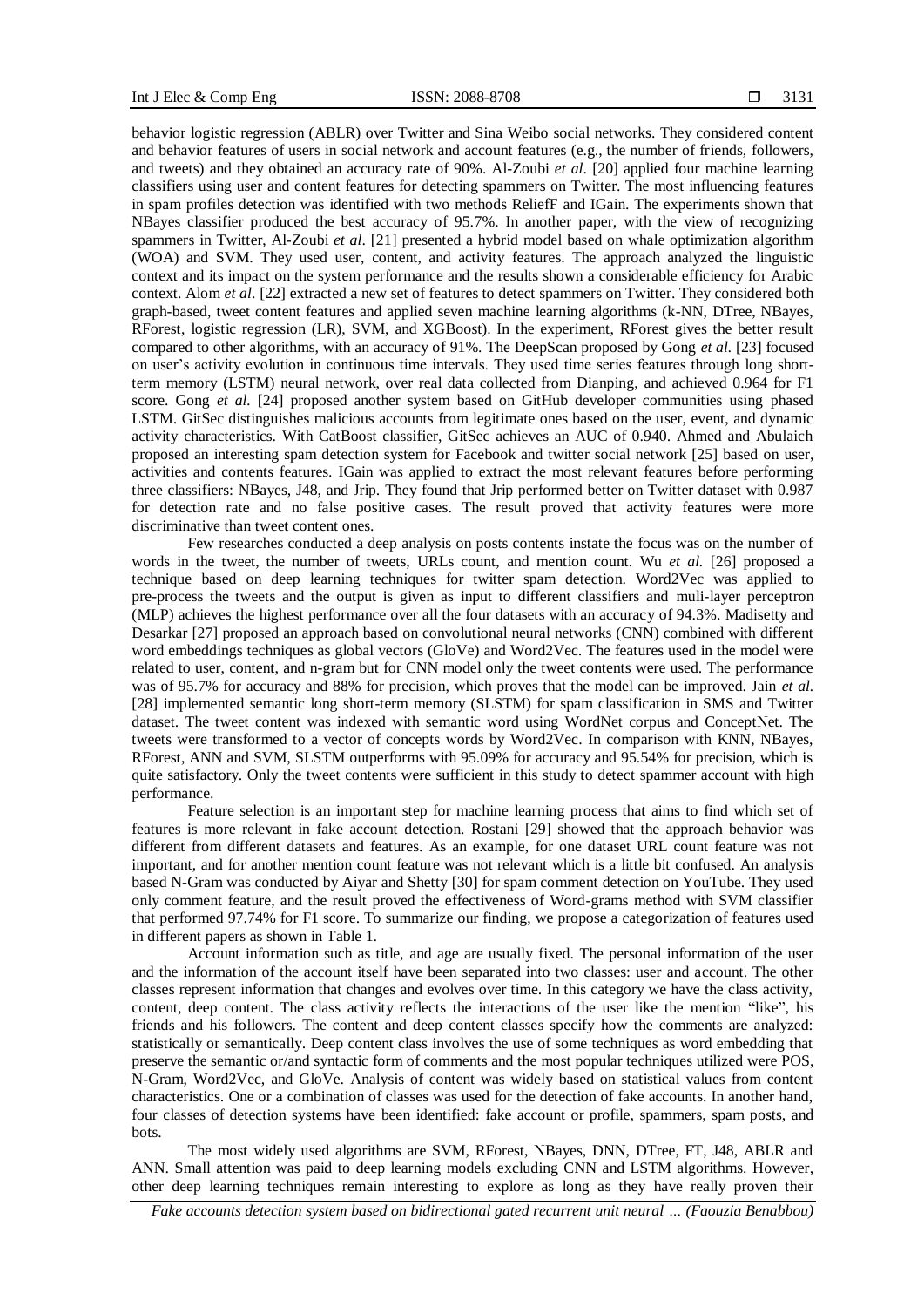behavior logistic regression (ABLR) over Twitter and Sina Weibo social networks. They considered content and behavior features of users in social network and account features (e.g., the number of friends, followers, and tweets) and they obtained an accuracy rate of 90%. Al-Zoubi *et al*. [20] applied four machine learning classifiers using user and content features for detecting spammers on Twitter. The most influencing features in spam profiles detection was identified with two methods ReliefF and IGain. The experiments shown that NBayes classifier produced the best accuracy of 95.7%. In another paper, with the view of recognizing spammers in Twitter, Al-Zoubi *et al*. [21] presented a hybrid model based on whale optimization algorithm (WOA) and SVM. They used user, content, and activity features. The approach analyzed the linguistic context and its impact on the system performance and the results shown a considerable efficiency for Arabic context. Alom *et al*. [22] extracted a new set of features to detect spammers on Twitter. They considered both graph-based, tweet content features and applied seven machine learning algorithms (k-NN, DTree, NBayes, RForest, logistic regression (LR), SVM, and XGBoost). In the experiment, RForest gives the better result compared to other algorithms, with an accuracy of 91%. The DeepScan proposed by Gong *et al.* [23] focused on user's activity evolution in continuous time intervals. They used time series features through long shortterm memory (LSTM) neural network, over real data collected from Dianping, and achieved 0.964 for F1 score. Gong *et al.* [24] proposed another system based on GitHub developer communities using phased LSTM. GitSec distinguishes malicious accounts from legitimate ones based on the user, event, and dynamic activity characteristics. With CatBoost classifier, GitSec achieves an AUC of 0.940. Ahmed and Abulaich proposed an interesting spam detection system for Facebook and twitter social network [25] based on user, activities and contents features. IGain was applied to extract the most relevant features before performing three classifiers: NBayes, J48, and Jrip. They found that Jrip performed better on Twitter dataset with 0.987 for detection rate and no false positive cases. The result proved that activity features were more discriminative than tweet content ones.

Few researches conducted a deep analysis on posts contents instate the focus was on the number of words in the tweet, the number of tweets, URLs count, and mention count. Wu *et al.* [26] proposed a technique based on deep learning techniques for twitter spam detection. Word2Vec was applied to pre-process the tweets and the output is given as input to different classifiers and muli-layer perceptron (MLP) achieves the highest performance over all the four datasets with an accuracy of 94.3%. Madisetty and Desarkar [27] proposed an approach based on convolutional neural networks (CNN) combined with different word embeddings techniques as global vectors (GloVe) and Word2Vec. The features used in the model were related to user, content, and n-gram but for CNN model only the tweet contents were used. The performance was of 95.7% for accuracy and 88% for precision, which proves that the model can be improved. Jain *et al.* [28] implemented semantic long short-term memory (SLSTM) for spam classification in SMS and Twitter dataset. The tweet content was indexed with semantic word using WordNet corpus and ConceptNet. The tweets were transformed to a vector of concepts words by Word2Vec. In comparison with KNN, NBayes, RForest, ANN and SVM, SLSTM outperforms with 95.09% for accuracy and 95.54% for precision, which is quite satisfactory. Only the tweet contents were sufficient in this study to detect spammer account with high performance.

Feature selection is an important step for machine learning process that aims to find which set of features is more relevant in fake account detection. Rostani [29] showed that the approach behavior was different from different datasets and features. As an example, for one dataset URL count feature was not important, and for another mention count feature was not relevant which is a little bit confused. An analysis based N-Gram was conducted by Aiyar and Shetty [30] for spam comment detection on YouTube. They used only comment feature, and the result proved the effectiveness of Word-grams method with SVM classifier that performed 97.74% for F1 score. To summarize our finding, we propose a categorization of features used in different papers as shown in Table 1.

Account information such as title, and age are usually fixed. The personal information of the user and the information of the account itself have been separated into two classes: user and account. The other classes represent information that changes and evolves over time. In this category we have the class activity, content, deep content. The class activity reflects the interactions of the user like the mention "like", his friends and his followers. The content and deep content classes specify how the comments are analyzed: statistically or semantically. Deep content class involves the use of some techniques as word embedding that preserve the semantic or/and syntactic form of comments and the most popular techniques utilized were POS, N-Gram, Word2Vec, and GloVe. Analysis of content was widely based on statistical values from content characteristics. One or a combination of classes was used for the detection of fake accounts. In another hand, four classes of detection systems have been identified: fake account or profile, spammers, spam posts, and bots.

The most widely used algorithms are SVM, RForest, NBayes, DNN, DTree, FT, J48, ABLR and ANN. Small attention was paid to deep learning models excluding CNN and LSTM algorithms. However, other deep learning techniques remain interesting to explore as long as they have really proven their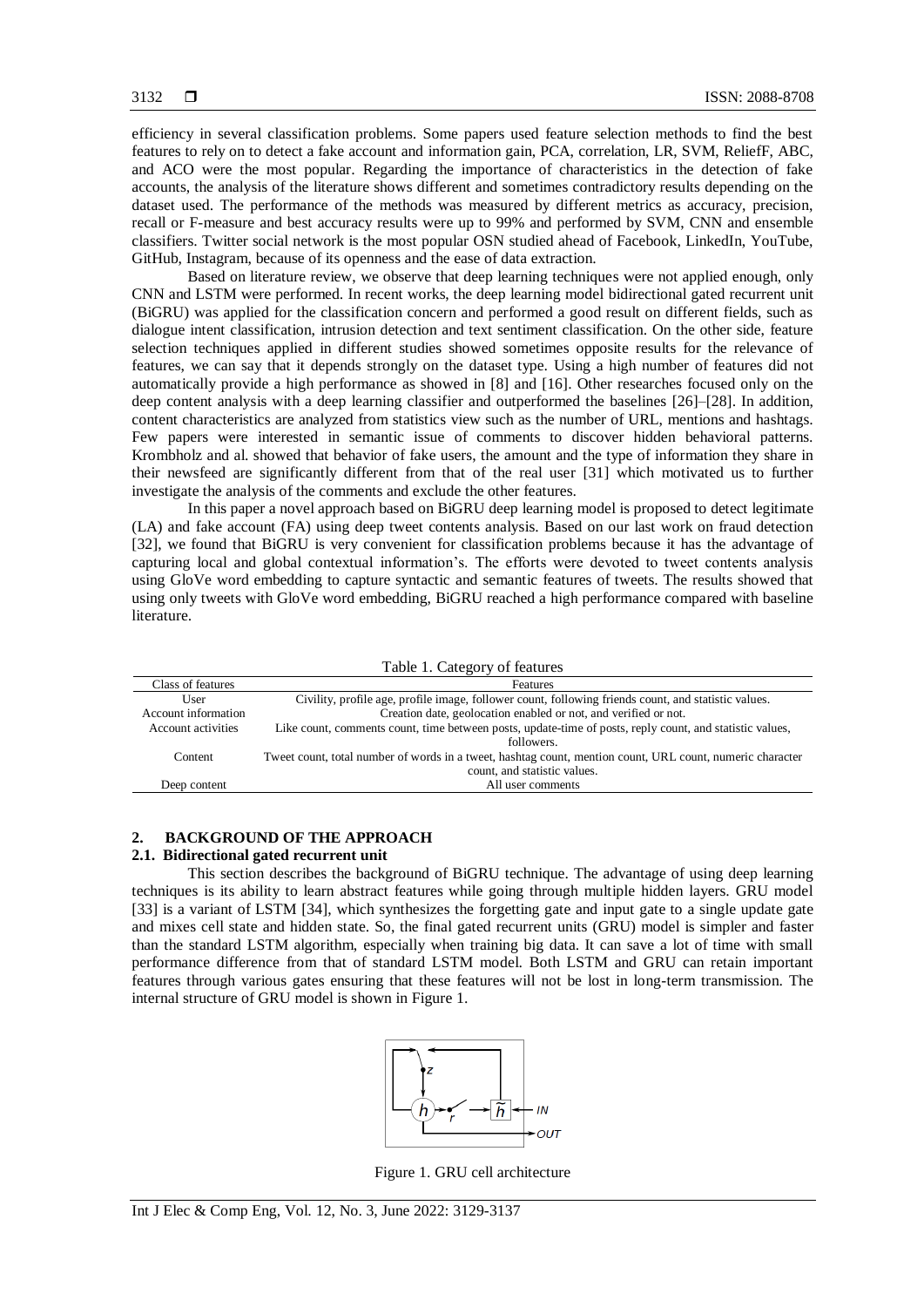efficiency in several classification problems. Some papers used feature selection methods to find the best features to rely on to detect a fake account and information gain, PCA, correlation, LR, SVM, ReliefF, ABC, and ACO were the most popular. Regarding the importance of characteristics in the detection of fake accounts, the analysis of the literature shows different and sometimes contradictory results depending on the dataset used. The performance of the methods was measured by different metrics as accuracy, precision, recall or F-measure and best accuracy results were up to 99% and performed by SVM, CNN and ensemble classifiers. Twitter social network is the most popular OSN studied ahead of Facebook, LinkedIn, YouTube, GitHub, Instagram, because of its openness and the ease of data extraction.

Based on literature review, we observe that deep learning techniques were not applied enough, only CNN and LSTM were performed. In recent works, the deep learning model bidirectional gated recurrent unit (BiGRU) was applied for the classification concern and performed a good result on different fields, such as dialogue intent classification, intrusion detection and text sentiment classification. On the other side, feature selection techniques applied in different studies showed sometimes opposite results for the relevance of features, we can say that it depends strongly on the dataset type. Using a high number of features did not automatically provide a high performance as showed in [8] and [16]. Other researches focused only on the deep content analysis with a deep learning classifier and outperformed the baselines [26]–[28]. In addition, content characteristics are analyzed from statistics view such as the number of URL, mentions and hashtags. Few papers were interested in semantic issue of comments to discover hidden behavioral patterns. Krombholz and al. showed that behavior of fake users, the amount and the type of information they share in their newsfeed are significantly different from that of the real user [31] which motivated us to further investigate the analysis of the comments and exclude the other features.

In this paper a novel approach based on BiGRU deep learning model is proposed to detect legitimate (LA) and fake account (FA) using deep tweet contents analysis. Based on our last work on fraud detection [32], we found that BiGRU is very convenient for classification problems because it has the advantage of capturing local and global contextual information's. The efforts were devoted to tweet contents analysis using GloVe word embedding to capture syntactic and semantic features of tweets. The results showed that using only tweets with GloVe word embedding, BiGRU reached a high performance compared with baseline literature.

| Table 1. Category of features |                                                                                                           |  |
|-------------------------------|-----------------------------------------------------------------------------------------------------------|--|
| Class of features             | Features                                                                                                  |  |
| User                          | Civility, profile age, profile image, follower count, following friends count, and statistic values.      |  |
| Account information           | Creation date, geolocation enabled or not, and verified or not.                                           |  |
| Account activities            | Like count, comments count, time between posts, update-time of posts, reply count, and statistic values,  |  |
|                               | followers.                                                                                                |  |
| Content                       | Tweet count, total number of words in a tweet, hashtag count, mention count, URL count, numeric character |  |
|                               | count, and statistic values.                                                                              |  |
| Deep content                  | All user comments                                                                                         |  |

# **2. BACKGROUND OF THE APPROACH**

# **2.1. Bidirectional gated recurrent unit**

This section describes the background of BiGRU technique. The advantage of using deep learning techniques is its ability to learn abstract features while going through multiple hidden layers. GRU model [33] is a variant of LSTM [34], which synthesizes the forgetting gate and input gate to a single update gate and mixes cell state and hidden state. So, the final gated recurrent units (GRU) model is simpler and faster than the standard LSTM algorithm, especially when training big data. It can save a lot of time with small performance difference from that of standard LSTM model. Both LSTM and GRU can retain important features through various gates ensuring that these features will not be lost in long-term transmission. The internal structure of GRU model is shown in Figure 1.



Figure 1. GRU cell architecture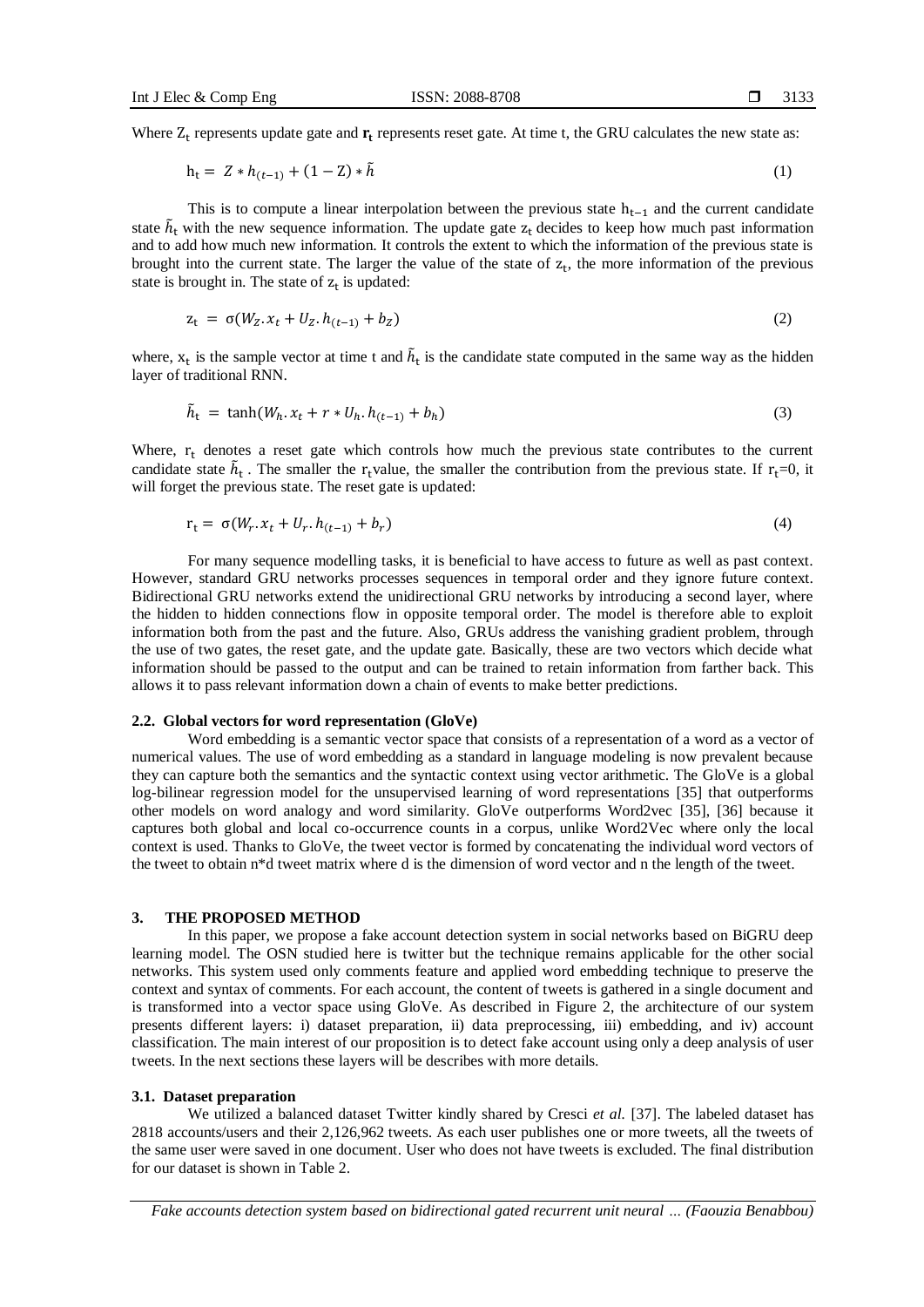Where  $Z_t$  represents update gate and  $r_t$  represents reset gate. At time t, the GRU calculates the new state as:

$$
h_t = Z * h_{(t-1)} + (1 - Z) * \tilde{h}
$$
 (1)

This is to compute a linear interpolation between the previous state  $h_{t-1}$  and the current candidate state  $\tilde{h}_t$  with the new sequence information. The update gate  $z_t$  decides to keep how much past information and to add how much new information. It controls the extent to which the information of the previous state is brought into the current state. The larger the value of the state of  $z_t$ , the more information of the previous state is brought in. The state of  $z_t$  is updated:

$$
z_{t} = \sigma(W_{Z} \cdot x_{t} + U_{Z} \cdot h_{(t-1)} + b_{Z})
$$
\n(2)

where,  $x_t$  is the sample vector at time t and  $\tilde{h}_t$  is the candidate state computed in the same way as the hidden layer of traditional RNN.

$$
\tilde{h}_t = \tanh(W_h. x_t + r * U_h. h_{(t-1)} + b_h) \tag{3}
$$

Where,  $r_t$  denotes a reset gate which controls how much the previous state contributes to the current candidate state  $\tilde{h}_t$ . The smaller the r<sub>t</sub>value, the smaller the contribution from the previous state. If r<sub>t</sub>=0, it will forget the previous state. The reset gate is updated:

$$
r_t = \sigma(W_r \cdot x_t + U_r \cdot h_{(t-1)} + b_r) \tag{4}
$$

For many sequence modelling tasks, it is beneficial to have access to future as well as past context. However, standard GRU networks processes sequences in temporal order and they ignore future context. Bidirectional GRU networks extend the unidirectional GRU networks by introducing a second layer, where the hidden to hidden connections flow in opposite temporal order. The model is therefore able to exploit information both from the past and the future. Also, GRUs address the vanishing gradient problem, through the use of two gates, the reset gate, and the update gate. Basically, these are two vectors which decide what information should be passed to the output and can be trained to retain information from farther back. This allows it to pass relevant information down a chain of events to make better predictions.

## **2.2. Global vectors for word representation (GloVe)**

Word embedding is a semantic vector space that consists of a representation of a word as a vector of numerical values. The use of word embedding as a standard in language modeling is now prevalent because they can capture both the semantics and the syntactic context using vector arithmetic. The GloVe is a global log-bilinear regression model for the unsupervised learning of word representations [35] that outperforms other models on word analogy and word similarity. GloVe outperforms Word2vec [35], [36] because it captures both global and local co-occurrence counts in a corpus, unlike Word2Vec where only the local context is used. Thanks to GloVe, the tweet vector is formed by concatenating the individual word vectors of the tweet to obtain n\*d tweet matrix where d is the dimension of word vector and n the length of the tweet.

#### **3. THE PROPOSED METHOD**

In this paper, we propose a fake account detection system in social networks based on BiGRU deep learning model. The OSN studied here is twitter but the technique remains applicable for the other social networks. This system used only comments feature and applied word embedding technique to preserve the context and syntax of comments. For each account, the content of tweets is gathered in a single document and is transformed into a vector space using GloVe. As described in Figure 2, the architecture of our system presents different layers: i) dataset preparation, ii) data preprocessing, iii) embedding, and iv) account classification. The main interest of our proposition is to detect fake account using only a deep analysis of user tweets. In the next sections these layers will be describes with more details.

#### **3.1. Dataset preparation**

We utilized a balanced dataset Twitter kindly shared by Cresci *et al.* [37]. The labeled dataset has 2818 accounts/users and their 2,126,962 tweets. As each user publishes one or more tweets, all the tweets of the same user were saved in one document. User who does not have tweets is excluded. The final distribution for our dataset is shown in Table 2.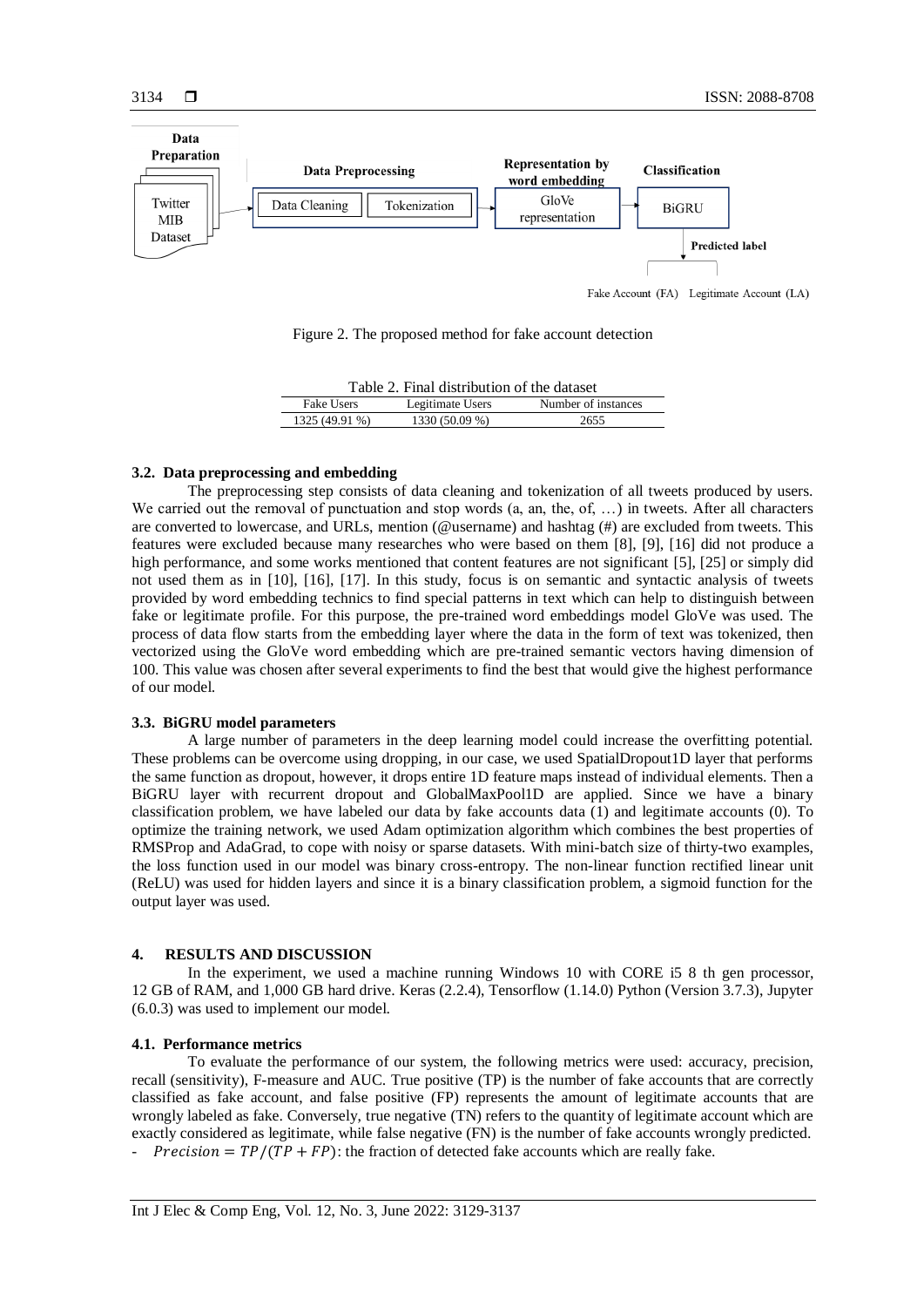

Fake Account (FA) Legitimate Account (LA)

Figure 2. The proposed method for fake account detection

| Table 2. Final distribution of the dataset |                  |                     |  |
|--------------------------------------------|------------------|---------------------|--|
| <b>Fake Users</b>                          | Legitimate Users | Number of instances |  |
| 1325 (49.91 %)                             | 1330 (50.09 %)   | 2655                |  |

# **3.2. Data preprocessing and embedding**

The preprocessing step consists of data cleaning and tokenization of all tweets produced by users. We carried out the removal of punctuation and stop words (a, an, the, of, ...) in tweets. After all characters are converted to lowercase, and URLs, mention (@username) and hashtag (#) are excluded from tweets. This features were excluded because many researches who were based on them [8], [9], [16] did not produce a high performance, and some works mentioned that content features are not significant [5], [25] or simply did not used them as in [10], [16], [17]. In this study, focus is on semantic and syntactic analysis of tweets provided by word embedding technics to find special patterns in text which can help to distinguish between fake or legitimate profile. For this purpose, the pre-trained word embeddings model GloVe was used. The process of data flow starts from the embedding layer where the data in the form of text was tokenized, then vectorized using the GloVe word embedding which are pre-trained semantic vectors having dimension of 100. This value was chosen after several experiments to find the best that would give the highest performance of our model.

# **3.3. BiGRU model parameters**

A large number of parameters in the deep learning model could increase the overfitting potential. These problems can be overcome using dropping, in our case, we used SpatialDropout1D layer that performs the same function as dropout, however, it drops entire 1D feature maps instead of individual elements. Then a BiGRU layer with recurrent dropout and GlobalMaxPool1D are applied. Since we have a binary classification problem, we have labeled our data by fake accounts data (1) and legitimate accounts (0). To optimize the training network, we used Adam optimization algorithm which combines the best properties of RMSProp and AdaGrad, to cope with noisy or sparse datasets. With mini-batch size of thirty-two examples, the loss function used in our model was binary cross-entropy. The non-linear function rectified linear unit (ReLU) was used for hidden layers and since it is a binary classification problem, a sigmoid function for the output layer was used.

#### **4. RESULTS AND DISCUSSION**

In the experiment, we used a machine running Windows 10 with CORE i5 8 th gen processor, 12 GB of RAM, and 1,000 GB hard drive. Keras (2.2.4), Tensorflow (1.14.0) Python (Version 3.7.3), Jupyter (6.0.3) was used to implement our model.

## **4.1. Performance metrics**

To evaluate the performance of our system, the following metrics were used: accuracy, precision, recall (sensitivity), F-measure and AUC. True positive (TP) is the number of fake accounts that are correctly classified as fake account, and false positive (FP) represents the amount of legitimate accounts that are wrongly labeled as fake. Conversely, true negative (TN) refers to the quantity of legitimate account which are exactly considered as legitimate, while false negative (FN) is the number of fake accounts wrongly predicted. *Precision* =  $TP/(TP + FP)$ : the fraction of detected fake accounts which are really fake.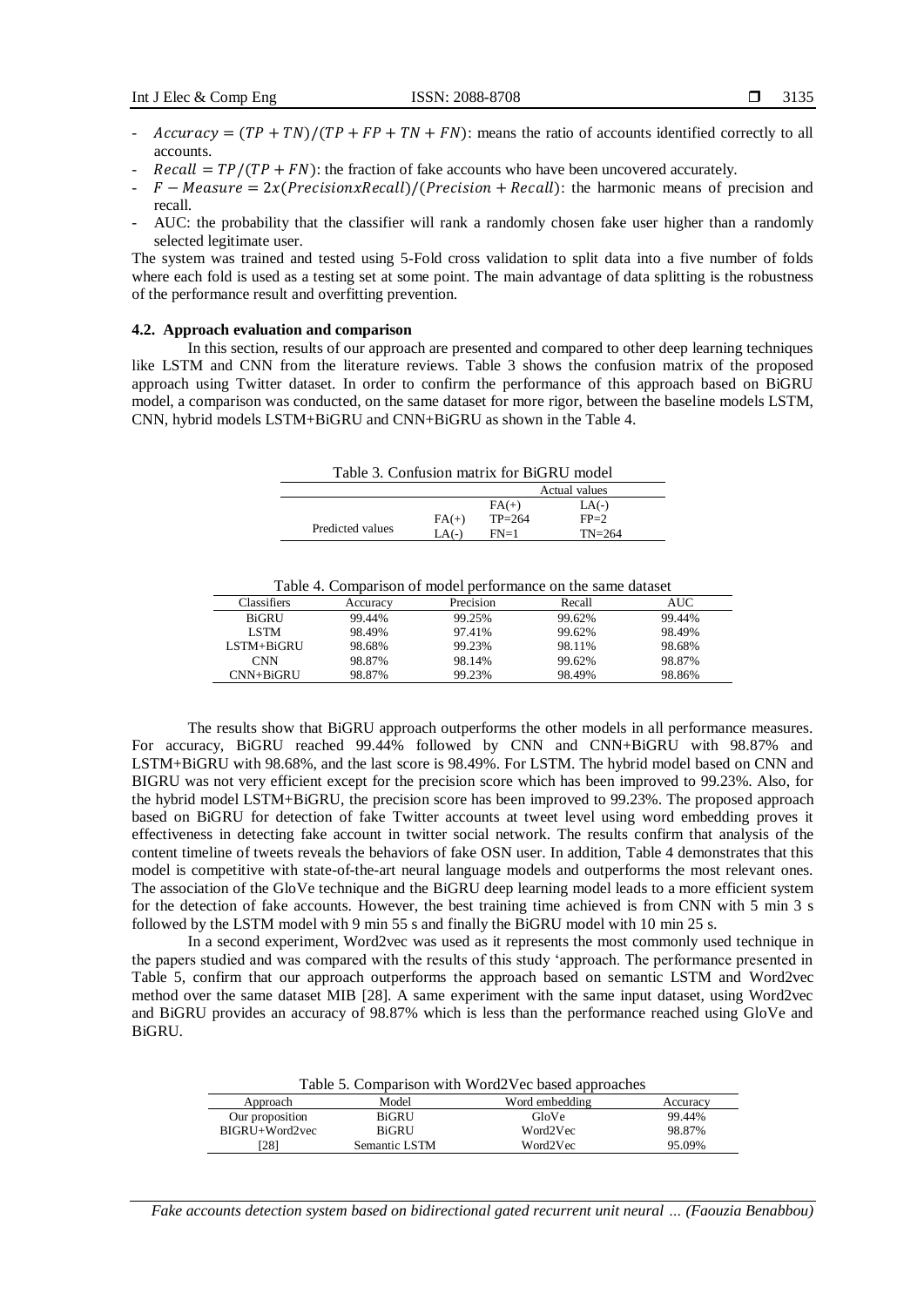- $Accuracy = (TP + TN)/(TP + FP + TN + FN)$ : means the ratio of accounts identified correctly to all accounts.
- $Recall = TP/(TP + FN)$ : the fraction of fake accounts who have been uncovered accurately.
- $-F-Measure = 2x(PrecisionxRecall)/(Precision + Recall)$ : the harmonic means of precision and recall.
- AUC: the probability that the classifier will rank a randomly chosen fake user higher than a randomly selected legitimate user.

The system was trained and tested using 5-Fold cross validation to split data into a five number of folds where each fold is used as a testing set at some point. The main advantage of data splitting is the robustness of the performance result and overfitting prevention.

## **4.2. Approach evaluation and comparison**

In this section, results of our approach are presented and compared to other deep learning techniques like LSTM and CNN from the literature reviews. Table 3 shows the confusion matrix of the proposed approach using Twitter dataset. In order to confirm the performance of this approach based on BiGRU model, a comparison was conducted, on the same dataset for more rigor, between the baseline models LSTM, CNN, hybrid models LSTM+BiGRU and CNN+BiGRU as shown in the Table 4.

| Table 3. Confusion matrix for BiGRU model |         |          |               |
|-------------------------------------------|---------|----------|---------------|
|                                           |         |          | Actual values |
|                                           |         | $FA(+)$  | $LA(-)$       |
|                                           | $FA(+)$ | $TP=264$ | $FP=2$        |
| Predicted values                          | $LA(-)$ | $FN=1$   | $TN = 264$    |

| Table 4. Comparison of model performance on the same dataset |
|--------------------------------------------------------------|
|--------------------------------------------------------------|

| Classifiers  | Accuracv | Precision | Recall | AUC    |
|--------------|----------|-----------|--------|--------|
| <b>BiGRU</b> | 99.44%   | 99.25%    | 99.62% | 99.44% |
| <b>LSTM</b>  | 98.49%   | 97.41%    | 99.62% | 98.49% |
| LSTM+BiGRU   | 98.68%   | 99.23%    | 98.11% | 98.68% |
| <b>CNN</b>   | 98.87%   | 98.14%    | 99.62% | 98.87% |
| CNN+BiGRU    | 98.87%   | 99.23%    | 98.49% | 98.86% |
|              |          |           |        |        |

The results show that BiGRU approach outperforms the other models in all performance measures. For accuracy, BiGRU reached 99.44% followed by CNN and CNN+BiGRU with 98.87% and LSTM+BiGRU with 98.68%, and the last score is 98.49%. For LSTM. The hybrid model based on CNN and BIGRU was not very efficient except for the precision score which has been improved to 99.23%. Also, for the hybrid model LSTM+BiGRU, the precision score has been improved to 99.23%. The proposed approach based on BiGRU for detection of fake Twitter accounts at tweet level using word embedding proves it effectiveness in detecting fake account in twitter social network. The results confirm that analysis of the content timeline of tweets reveals the behaviors of fake OSN user. In addition, Table 4 demonstrates that this model is competitive with state-of-the-art neural language models and outperforms the most relevant ones. The association of the GloVe technique and the BiGRU deep learning model leads to a more efficient system for the detection of fake accounts. However, the best training time achieved is from CNN with 5 min 3 s followed by the LSTM model with 9 min 55 s and finally the BiGRU model with 10 min 25 s.

In a second experiment, Word2vec was used as it represents the most commonly used technique in the papers studied and was compared with the results of this study 'approach. The performance presented in Table 5, confirm that our approach outperforms the approach based on semantic LSTM and Word2vec method over the same dataset MIB [28]. A same experiment with the same input dataset, using Word2vec and BiGRU provides an accuracy of 98.87% which is less than the performance reached using GloVe and BiGRU.

| Table 5. Comparison with Word2Vec based approaches |               |                |          |
|----------------------------------------------------|---------------|----------------|----------|
| Approach                                           | Model         | Word embedding | Accuracy |
| Our proposition                                    | BiGRU         | GloVe          | 99.44%   |
| BIGRU+Word2vec                                     | BiGRU         | Word2Vec       | 98.87%   |
| [28]                                               | Semantic LSTM | Word2Vec       | 95.09%   |

*Fake accounts detection system based on bidirectional gated recurrent unit neural … (Faouzia Benabbou)*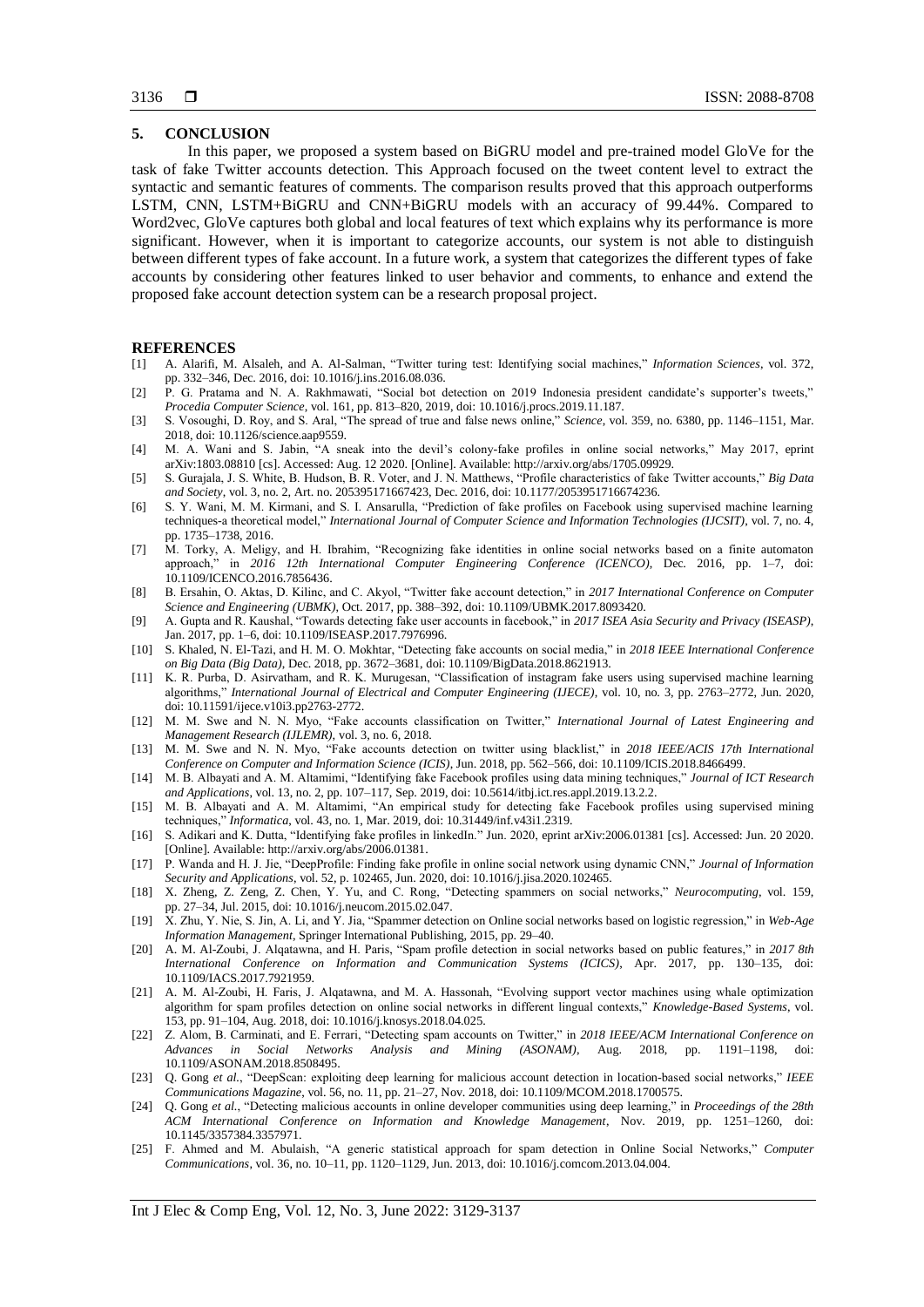# **5. CONCLUSION**

In this paper, we proposed a system based on BiGRU model and pre-trained model GloVe for the task of fake Twitter accounts detection. This Approach focused on the tweet content level to extract the syntactic and semantic features of comments. The comparison results proved that this approach outperforms LSTM, CNN, LSTM+BiGRU and CNN+BiGRU models with an accuracy of 99.44%. Compared to Word2vec, GloVe captures both global and local features of text which explains why its performance is more significant. However, when it is important to categorize accounts, our system is not able to distinguish between different types of fake account. In a future work, a system that categorizes the different types of fake accounts by considering other features linked to user behavior and comments, to enhance and extend the proposed fake account detection system can be a research proposal project.

# **REFERENCES**

- [1] A. Alarifi, M. Alsaleh, and A. Al-Salman, "Twitter turing test: Identifying social machines," *Information Sciences*, vol. 372, pp. 332–346, Dec. 2016, doi: 10.1016/j.ins.2016.08.036.
- [2] P. G. Pratama and N. A. Rakhmawati, "Social bot detection on 2019 Indonesia president candidate's supporter's tweets," *Procedia Computer Science*, vol. 161, pp. 813–820, 2019, doi: 10.1016/j.procs.2019.11.187.
- [3] S. Vosoughi, D. Roy, and S. Aral, "The spread of true and false news online," *Science*, vol. 359, no. 6380, pp. 1146–1151, Mar. 2018, doi: 10.1126/science.aap9559.
- [4] M. A. Wani and S. Jabin, "A sneak into the devil's colony-fake profiles in online social networks," May 2017, eprint arXiv:1803.08810 [cs]. Accessed: Aug. 12 2020. [Online]. Available: http://arxiv.org/abs/1705.09929.
- [5] S. Gurajala, J. S. White, B. Hudson, B. R. Voter, and J. N. Matthews, "Profile characteristics of fake Twitter accounts," *Big Data and Society*, vol. 3, no. 2, Art. no. 205395171667423, Dec. 2016, doi: 10.1177/2053951716674236.
- [6] S. Y. Wani, M. M. Kirmani, and S. I. Ansarulla, "Prediction of fake profiles on Facebook using supervised machine learning techniques-a theoretical model," *International Journal of Computer Science and Information Technologies (IJCSIT)*, vol. 7, no. 4, pp. 1735–1738, 2016.
- [7] M. Torky, A. Meligy, and H. Ibrahim, "Recognizing fake identities in online social networks based on a finite automaton approach," in *2016 12th International Computer Engineering Conference (ICENCO)*, Dec. 2016, pp. 1–7, doi: 10.1109/ICENCO.2016.7856436.
- [8] B. Ersahin, O. Aktas, D. Kilinc, and C. Akyol, "Twitter fake account detection," in *2017 International Conference on Computer Science and Engineering (UBMK)*, Oct. 2017, pp. 388–392, doi: 10.1109/UBMK.2017.8093420.
- [9] A. Gupta and R. Kaushal, "Towards detecting fake user accounts in facebook," in *2017 ISEA Asia Security and Privacy (ISEASP)*, Jan. 2017, pp. 1–6, doi: 10.1109/ISEASP.2017.7976996.
- [10] S. Khaled, N. El-Tazi, and H. M. O. Mokhtar, "Detecting fake accounts on social media," in *2018 IEEE International Conference on Big Data (Big Data)*, Dec. 2018, pp. 3672–3681, doi: 10.1109/BigData.2018.8621913.
- [11] K. R. Purba, D. Asirvatham, and R. K. Murugesan, "Classification of instagram fake users using supervised machine learning algorithms," *International Journal of Electrical and Computer Engineering (IJECE)*, vol. 10, no. 3, pp. 2763–2772, Jun. 2020, doi: 10.11591/ijece.v10i3.pp2763-2772.
- [12] M. M. Swe and N. N. Myo, "Fake accounts classification on Twitter," *International Journal of Latest Engineering and Management Research (IJLEMR)*, vol. 3, no. 6, 2018.
- [13] M. M. Swe and N. N. Myo, "Fake accounts detection on twitter using blacklist," in *2018 IEEE/ACIS 17th International Conference on Computer and Information Science (ICIS)*, Jun. 2018, pp. 562–566, doi: 10.1109/ICIS.2018.8466499.
- [14] M. B. Albayati and A. M. Altamimi, "Identifying fake Facebook profiles using data mining techniques," *Journal of ICT Research and Applications*, vol. 13, no. 2, pp. 107–117, Sep. 2019, doi: 10.5614/itbj.ict.res.appl.2019.13.2.2.
- [15] M. B. Albayati and A. M. Altamimi, "An empirical study for detecting fake Facebook profiles using supervised mining techniques," *Informatica*, vol. 43, no. 1, Mar. 2019, doi: 10.31449/inf.v43i1.2319.
- [16] S. Adikari and K. Dutta, "Identifying fake profiles in linkedIn." Jun. 2020, eprint arXiv:2006.01381 [cs]. Accessed: Jun. 20 2020. [Online]. Available: http://arxiv.org/abs/2006.01381.
- [17] P. Wanda and H. J. Jie, "DeepProfile: Finding fake profile in online social network using dynamic CNN," *Journal of Information Security and Applications*, vol. 52, p. 102465, Jun. 2020, doi: 10.1016/j.jisa.2020.102465.
- [18] X. Zheng, Z. Zeng, Z. Chen, Y. Yu, and C. Rong, "Detecting spammers on social networks," *Neurocomputing*, vol. 159, pp. 27–34, Jul. 2015, doi: 10.1016/j.neucom.2015.02.047.
- [19] X. Zhu, Y. Nie, S. Jin, A. Li, and Y. Jia, "Spammer detection on Online social networks based on logistic regression," in *Web-Age Information Management*, Springer International Publishing, 2015, pp. 29–40.
- [20] A. M. Al-Zoubi, J. Alqatawna, and H. Paris, "Spam profile detection in social networks based on public features," in *2017 8th International Conference on Information and Communication Systems (ICICS)*, Apr. 2017, pp. 130–135, doi: 10.1109/IACS.2017.7921959.
- [21] A. M. Al-Zoubi, H. Faris, J. Alqatawna, and M. A. Hassonah, "Evolving support vector machines using whale optimization algorithm for spam profiles detection on online social networks in different lingual contexts," *Knowledge-Based Systems*, vol. 153, pp. 91–104, Aug. 2018, doi: 10.1016/j.knosys.2018.04.025.
- [22] Z. Alom, B. Carminati, and E. Ferrari, "Detecting spam accounts on Twitter," in *2018 IEEE/ACM International Conference on Advances in Social Networks Analysis and Mining (ASONAM)*, Aug. 2018, pp. 1191–1198, doi: 10.1109/ASONAM.2018.8508495.
- [23] Q. Gong *et al.*, "DeepScan: exploiting deep learning for malicious account detection in location-based social networks," *IEEE Communications Magazine*, vol. 56, no. 11, pp. 21–27, Nov. 2018, doi: 10.1109/MCOM.2018.1700575.
- [24] Q. Gong *et al.*, "Detecting malicious accounts in online developer communities using deep learning," in *Proceedings of the 28th ACM International Conference on Information and Knowledge Management*, Nov. 2019, pp. 1251–1260, doi: 10.1145/3357384.3357971.
- [25] F. Ahmed and M. Abulaish, "A generic statistical approach for spam detection in Online Social Networks," *Computer Communications*, vol. 36, no. 10–11, pp. 1120–1129, Jun. 2013, doi: 10.1016/j.comcom.2013.04.004.